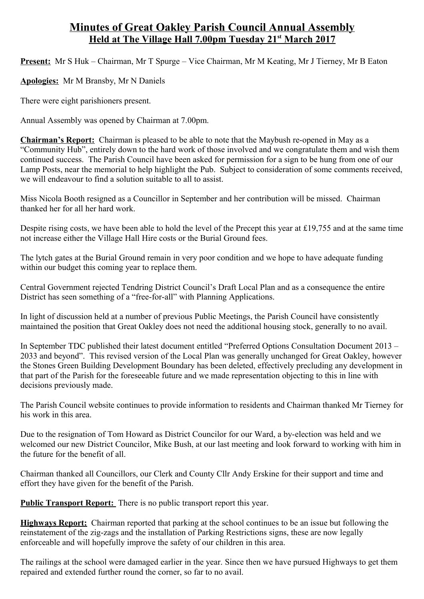## **Minutes of Great Oakley Parish Council Annual Assembly Held at The Village Hall 7.00pm Tuesday 21st March 2017**

**Present:** Mr S Huk – Chairman, Mr T Spurge – Vice Chairman, Mr M Keating, Mr J Tierney, Mr B Eaton

**Apologies:** Mr M Bransby, Mr N Daniels

There were eight parishioners present.

Annual Assembly was opened by Chairman at 7.00pm.

**Chairman's Report:** Chairman is pleased to be able to note that the Maybush re-opened in May as a "Community Hub", entirely down to the hard work of those involved and we congratulate them and wish them continued success. The Parish Council have been asked for permission for a sign to be hung from one of our Lamp Posts, near the memorial to help highlight the Pub. Subject to consideration of some comments received, we will endeavour to find a solution suitable to all to assist.

Miss Nicola Booth resigned as a Councillor in September and her contribution will be missed. Chairman thanked her for all her hard work.

Despite rising costs, we have been able to hold the level of the Precept this year at £19,755 and at the same time not increase either the Village Hall Hire costs or the Burial Ground fees.

The lytch gates at the Burial Ground remain in very poor condition and we hope to have adequate funding within our budget this coming year to replace them.

Central Government rejected Tendring District Council's Draft Local Plan and as a consequence the entire District has seen something of a "free-for-all" with Planning Applications.

In light of discussion held at a number of previous Public Meetings, the Parish Council have consistently maintained the position that Great Oakley does not need the additional housing stock, generally to no avail.

In September TDC published their latest document entitled "Preferred Options Consultation Document 2013 – 2033 and beyond". This revised version of the Local Plan was generally unchanged for Great Oakley, however the Stones Green Building Development Boundary has been deleted, effectively precluding any development in that part of the Parish for the foreseeable future and we made representation objecting to this in line with decisions previously made.

The Parish Council website continues to provide information to residents and Chairman thanked Mr Tierney for his work in this area.

Due to the resignation of Tom Howard as District Councilor for our Ward, a by-election was held and we welcomed our new District Councilor, Mike Bush, at our last meeting and look forward to working with him in the future for the benefit of all.

Chairman thanked all Councillors, our Clerk and County Cllr Andy Erskine for their support and time and effort they have given for the benefit of the Parish.

**Public Transport Report:** There is no public transport report this year.

**Highways Report:** Chairman reported that parking at the school continues to be an issue but following the reinstatement of the zig-zags and the installation of Parking Restrictions signs, these are now legally enforceable and will hopefully improve the safety of our children in this area.

The railings at the school were damaged earlier in the year. Since then we have pursued Highways to get them repaired and extended further round the corner, so far to no avail.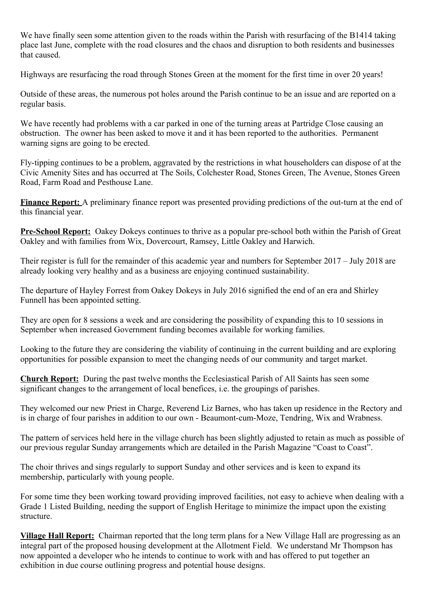We have finally seen some attention given to the roads within the Parish with resurfacing of the B1414 taking place last June, complete with the road closures and the chaos and disruption to both residents and businesses that caused.

Highways are resurfacing the road through Stones Green at the moment for the first time in over 20 years!

Outside of these areas, the numerous pot holes around the Parish continue to be an issue and are reported on a regular basis.

We have recently had problems with a car parked in one of the turning areas at Partridge Close causing an obstruction. The owner has been asked to move it and it has been reported to the authorities. Permanent warning signs are going to be erected.

Fly-tipping continues to be a problem, aggravated by the restrictions in what householders can dispose of at the Civic Amenity Sites and has occurred at The Soils, Colchester Road, Stones Green, The Avenue, Stones Green Road, Farm Road and Pesthouse Lane.

**Finance Report:** A preliminary finance report was presented providing predictions of the out-turn at the end of this financial year.

**Pre-School Report:** Oakey Dokeys continues to thrive as a popular pre-school both within the Parish of Great Oakley and with families from Wix, Dovercourt, Ramsey, Little Oakley and Harwich.

Their register is full for the remainder of this academic year and numbers for September 2017 – July 2018 are already looking very healthy and as a business are enjoying continued sustainability.

The departure of Hayley Forrest from Oakey Dokeys in July 2016 signified the end of an era and Shirley Funnell has been appointed setting.

They are open for 8 sessions a week and are considering the possibility of expanding this to 10 sessions in September when increased Government funding becomes available for working families.

Looking to the future they are considering the viability of continuing in the current building and are exploring opportunities for possible expansion to meet the changing needs of our community and target market.

**Church Report:** During the past twelve months the Ecclesiastical Parish of All Saints has seen some significant changes to the arrangement of local benefices, i.e. the groupings of parishes.

They welcomed our new Priest in Charge, Reverend Liz Barnes, who has taken up residence in the Rectory and is in charge of four parishes in addition to our own - Beaumont-cum-Moze, Tendring, Wix and Wrabness.

The pattern of services held here in the village church has been slightly adjusted to retain as much as possible of our previous regular Sunday arrangements which are detailed in the Parish Magazine "Coast to Coast".

The choir thrives and sings regularly to support Sunday and other services and is keen to expand its membership, particularly with young people.

For some time they been working toward providing improved facilities, not easy to achieve when dealing with a Grade 1 Listed Building, needing the support of English Heritage to minimize the impact upon the existing structure.

**Village Hall Report:** Chairman reported that the long term plans for a New Village Hall are progressing as an integral part of the proposed housing development at the Allotment Field. We understand Mr Thompson has now appointed a developer who he intends to continue to work with and has offered to put together an exhibition in due course outlining progress and potential house designs.